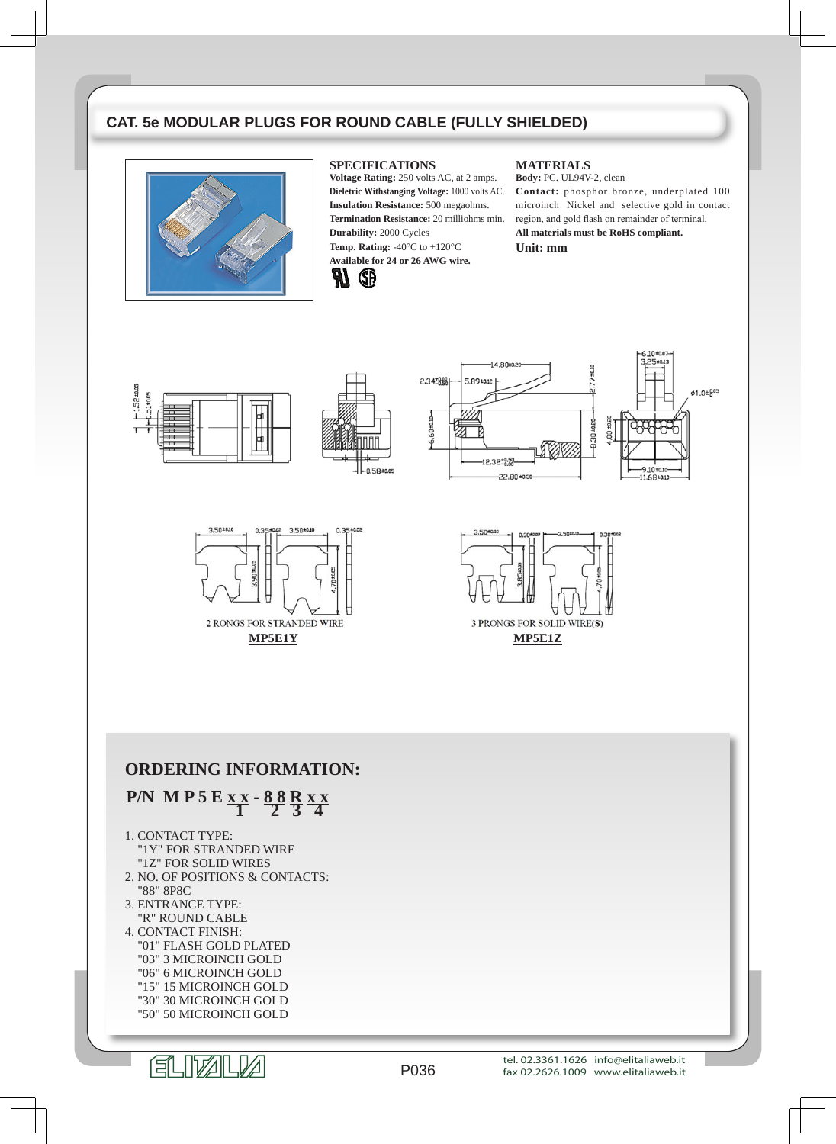## **CAT. 5e MODULAR PLUGS FOR ROUND CABLE (FULLY SHIELDED)**



#### **SPECIFICATIONS**

**Voltage Rating:** 250 volts AC, at 2 amps. **Dieletric Withstanging Voltage:** 1000 volts AC. **Insulation Resistance:** 500 megaohms. **Termination Resistance:** 20 milliohms min. **Durability:** 2000 Cycles **Temp. Rating:** -40°C to +120°C **Available for 24 or 26 AWG wire.**



#### **MATERIALS**

**Body:** PC. UL94V-2, clean **Contact:** phosphor bronze, underplated 100 microinch Nickel and selective gold in contact region, and gold flash on remainder of terminal. **All materials must be RoHS compliant. Unit: mm**

> $5.10 +$ 3.25±0.13

> > Ø1.0±805







 $-14,80$ 

## **ORDERING INFORMATION:**

# **P/N M P 5 E x x - 8 8 <sup>R</sup> x x 1 2 3 4**

#### 1. CONTACT TYPE: "1Y" FOR STRANDED WIRE

- "1Z" FOR SOLID WIRES 2. NO. OF POSITIONS & CONTACTS:
- "88" 8P8C
- 3. ENTRANCE TYPE: "R" ROUND CABLE
- 4. CONTACT FINISH: "01" FLASH GOLD PLATED "03" 3 MICROINCH GOLD "06" 6 MICROINCH GOLD "15" 15 MICROINCH GOLD "30" 30 MICROINCH GOLD "50" 50 MICROINCH GOLD

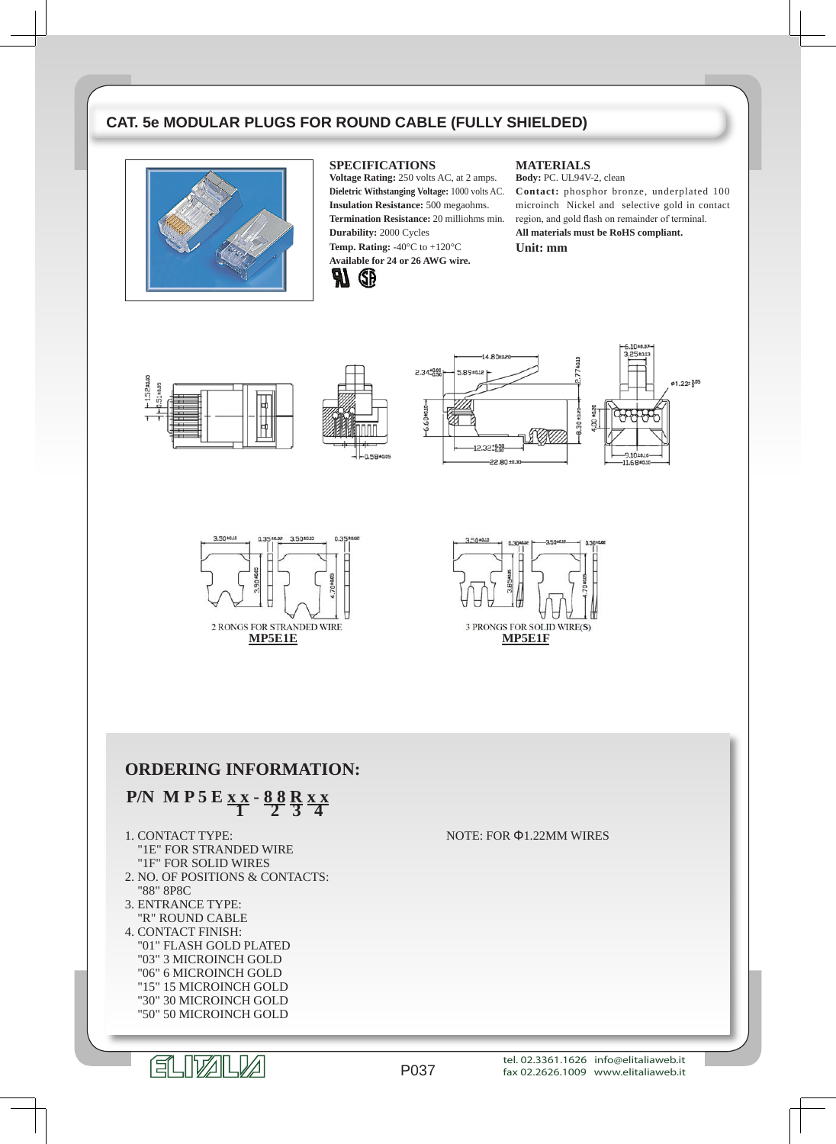## **CAT. 5e MODULAR PLUGS FOR ROUND CABLE (FULLY SHIELDED)**



#### **SPECIFICATIONS**

**Voltage Rating:** 250 volts AC, at 2 amps. **Dieletric Withstanging Voltage:** 1000 volts AC. **Insulation Resistance:** 500 megaohms. **Termination Resistance:** 20 milliohms min. **Durability:** 2000 Cycles **Temp. Rating:** -40°C to +120°C **Available for 24 or 26 AWG wire.**



#### **MATERIALS**

**Body:** PC. UL94V-2, clean **Contact:** phosphor bronze, underplated 100 microinch Nickel and selective gold in contact region, and gold flash on remainder of terminal. **All materials must be RoHS compliant. Unit: mm**







## **ORDERING INFORMATION:**

## **P/N M P 5 E x x - 8 8 <sup>R</sup> x x 1 2 3 4**

## 1. CONTACT TYPE:

- "1E" FOR STRANDED WIRE "1F" FOR SOLID WIRES
- 2. NO. OF POSITIONS & CONTACTS: "88" 8P8C
- 3. ENTRANCE TYPE: "R" ROUND CABLE
- 4. CONTACT FINISH: "01" FLASH GOLD PLATED "03" 3 MICROINCH GOLD "06" 6 MICROINCH GOLD "15" 15 MICROINCH GOLD "30" 30 MICROINCH GOLD "50" 50 MICROINCH GOLD

NOTE: FOR Φ1.22MM WIRES